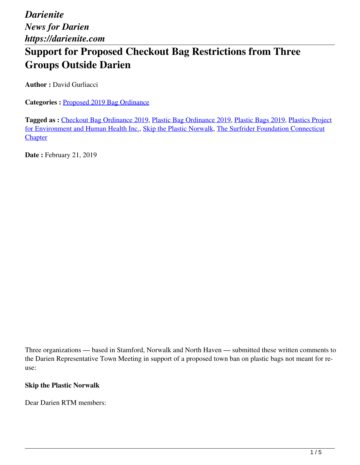# **Support for Proposed Checkout Bag Restrictions from Three Groups Outside Darien**

**Author : David Gurliacci** 

**Categories :** [Proposed 2019 Bag Ordinance](https://darienite.com/category/news/government-politics/proposed-2019-bag-ordinance)

**Tagged as :** Checkout Bag Ordinance 2019, Plastic Bag Ordinance 2019, Plastic Bags 2019, Plastics Project for Environment and Human Health Inc., Skip the Plastic Norwalk, The Surfrider Foundation Connecticut **Chapter** 

**Date :** February 21, 2019

Three organizations — based in Stamford, Norwalk and North Haven — submitted these written comments to the Darien Representative Town Meeting in support of a proposed town ban on plastic bags not meant for reuse:

#### **Skip the Plastic Norwalk**

Dear Darien RTM members: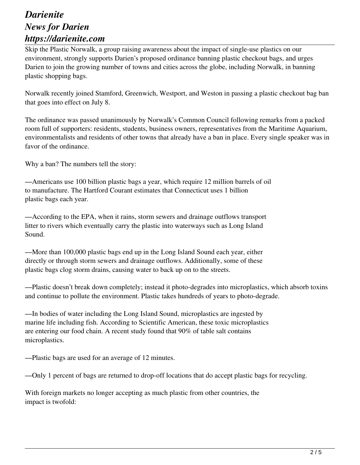Skip the Plastic Norwalk, a group raising awareness about the impact of single-use plastics on our environment, strongly supports Darien's proposed ordinance banning plastic checkout bags, and urges Darien to join the growing number of towns and cities across the globe, including Norwalk, in banning plastic shopping bags.

Norwalk recently joined Stamford, Greenwich, Westport, and Weston in passing a plastic checkout bag ban that goes into effect on July 8.

The ordinance was passed unanimously by Norwalk's Common Council following remarks from a packed room full of supporters: residents, students, business owners, representatives from the Maritime Aquarium, environmentalists and residents of other towns that already have a ban in place. Every single speaker was in favor of the ordinance.

Why a ban? The numbers tell the story:

—Americans use 100 billion plastic bags a year, which require 12 million barrels of oil to manufacture. The Hartford Courant estimates that Connecticut uses 1 billion plastic bags each year.

—According to the EPA, when it rains, storm sewers and drainage outflows transport litter to rivers which eventually carry the plastic into waterways such as Long Island Sound.

—More than 100,000 plastic bags end up in the Long Island Sound each year, either directly or through storm sewers and drainage outflows. Additionally, some of these plastic bags clog storm drains, causing water to back up on to the streets.

—Plastic doesn't break down completely; instead it photo-degrades into microplastics, which absorb toxins and continue to pollute the environment. Plastic takes hundreds of years to photo-degrade.

—In bodies of water including the Long Island Sound, microplastics are ingested by marine life including fish. According to Scientific American, these toxic microplastics are entering our food chain. A recent study found that 90% of table salt contains microplastics.

—Plastic bags are used for an average of 12 minutes.

—Only 1 percent of bags are returned to drop-off locations that do accept plastic bags for recycling.

With foreign markets no longer accepting as much plastic from other countries, the impact is twofold: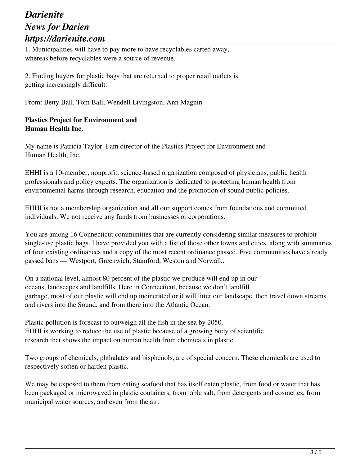1. Municipalities will have to pay more to have recyclables carted away, whereas before recyclables were a source of revenue.

2. Finding buyers for plastic bags that are returned to proper retail outlets is getting increasingly difficult.

From: Betty Ball, Tom Ball, Wendell Livingston, Ann Magnin

### **Plastics Project for Environment and Human Health Inc.**

My name is Patricia Taylor. I am director of the Plastics Project for Environment and Human Health, Inc.

EHHI is a 10-member, nonprofit, science-based organization composed of physicians, public health professionals and policy experts. The organization is dedicated to protecting human health from environmental harms through research, education and the promotion of sound public policies.

EHHI is not a membership organization and all our support comes from foundations and committed individuals. We not receive any funds from businesses or corporations.

You are among 16 Connecticut communities that are currently considering similar measures to prohibit single-use plastic bags. I have provided you with a list of those other towns and cities, along with summaries of four existing ordinances and a copy of the most recent ordinance passed. Five communities have already passed bans — Westport, Greenwich, Stamford, Weston and Norwalk.

On a national level, almost 80 percent of the plastic we produce will end up in our oceans, landscapes and landfills. Here in Connecticut, because we don't landfill garbage, most of our plastic will end up incinerated or it will litter our landscape, then travel down streams and rivers into the Sound, and from there into the Atlantic Ocean.

Plastic pollution is forecast to outweigh all the fish in the sea by 2050. EHHI is working to reduce the use of plastic because of a growing body of scientific research that shows the impact on human health from chemicals in plastic.

Two groups of chemicals, phthalates and bisphenols, are of special concern. These chemicals are used to respectively soften or harden plastic.

We may be exposed to them from eating seafood that has itself eaten plastic, from food or water that has been packaged or microwaved in plastic containers, from table salt, from detergents and cosmetics, from municipal water sources, and even from the air.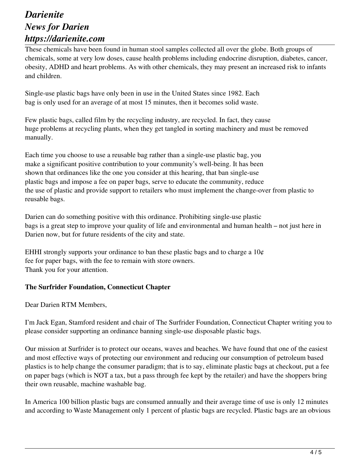These chemicals have been found in human stool samples collected all over the globe. Both groups of chemicals, some at very low doses, cause health problems including endocrine disruption, diabetes, cancer, obesity, ADHD and heart problems. As with other chemicals, they may present an increased risk to infants and children.

Single-use plastic bags have only been in use in the United States since 1982. Each bag is only used for an average of at most 15 minutes, then it becomes solid waste.

Few plastic bags, called film by the recycling industry, are recycled. In fact, they cause huge problems at recycling plants, when they get tangled in sorting machinery and must be removed manually.

Each time you choose to use a reusable bag rather than a single-use plastic bag, you make a significant positive contribution to your community's well-being. It has been shown that ordinances like the one you consider at this hearing, that ban single-use plastic bags and impose a fee on paper bags, serve to educate the community, reduce the use of plastic and provide support to retailers who must implement the change-over from plastic to reusable bags.

Darien can do something positive with this ordinance. Prohibiting single-use plastic bags is a great step to improve your quality of life and environmental and human health – not just here in Darien now, but for future residents of the city and state.

EHHI strongly supports your ordinance to ban these plastic bags and to charge a  $10¢$ fee for paper bags, with the fee to remain with store owners. Thank you for your attention.

#### **The Surfrider Foundation, Connecticut Chapter**

Dear Darien RTM Members,

I'm Jack Egan, Stamford resident and chair of The Surfrider Foundation, Connecticut Chapter writing you to please consider supporting an ordinance banning single-use disposable plastic bags.

Our mission at Surfrider is to protect our oceans, waves and beaches. We have found that one of the easiest and most effective ways of protecting our environment and reducing our consumption of petroleum based plastics is to help change the consumer paradigm; that is to say, eliminate plastic bags at checkout, put a fee on paper bags (which is NOT a tax, but a pass through fee kept by the retailer) and have the shoppers bring their own reusable, machine washable bag.

In America 100 billion plastic bags are consumed annually and their average time of use is only 12 minutes and according to Waste Management only 1 percent of plastic bags are recycled. Plastic bags are an obvious